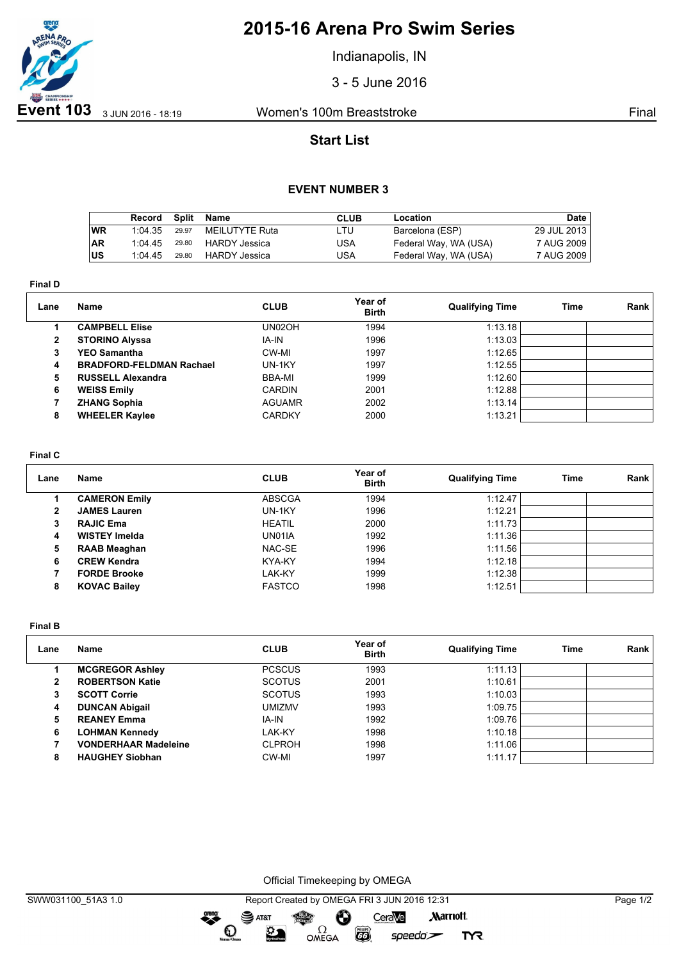

# **2015-16 Arena Pro Swim Series**

Indianapolis, IN

3 - 5 June 2016

## **Start List**

### **EVENT NUMBER 3**

|           | Record  | Split | Name                 | <b>CLUB</b> | Location              | Date        |
|-----------|---------|-------|----------------------|-------------|-----------------------|-------------|
| ∣wR       | 1:04.35 | 29.97 | MEILUTYTE Ruta       | LTU.        | Barcelona (ESP)       | 29 JUL 2013 |
| <b>AR</b> | 1.0445  | 29.80 | HARDY Jessica        | USA         | Federal Way, WA (USA) | 7 AUG 2009  |
| ∣us       | 1:04.45 | 29.80 | <b>HARDY Jessica</b> | USA         | Federal Way, WA (USA) | 7 AUG 2009  |

**Final D**

| Lane | Name                            | <b>CLUB</b>   | Year of<br><b>Birth</b> | <b>Qualifying Time</b> | Time | Rank |
|------|---------------------------------|---------------|-------------------------|------------------------|------|------|
|      | <b>CAMPBELL Elise</b>           | UN02OH        | 1994                    | 1:13.18                |      |      |
| 2    | <b>STORINO Alyssa</b>           | IA-IN         | 1996                    | 1:13.03                |      |      |
| 3    | <b>YEO Samantha</b>             | CW-MI         | 1997                    | 1:12.65                |      |      |
| 4    | <b>BRADFORD-FELDMAN Rachael</b> | UN-1KY        | 1997                    | 1:12.55                |      |      |
| 5    | <b>RUSSELL Alexandra</b>        | BBA-MI        | 1999                    | 1:12.60                |      |      |
| 6    | <b>WEISS Emily</b>              | <b>CARDIN</b> | 2001                    | 1:12.88                |      |      |
|      | <b>ZHANG Sophia</b>             | <b>AGUAMR</b> | 2002                    | 1:13.14                |      |      |
| 8    | <b>WHEELER Kaylee</b>           | <b>CARDKY</b> | 2000                    | 1:13.21                |      |      |

#### **Final C**

| Lane | Name                 | <b>CLUB</b>   | Year of<br><b>Birth</b> | <b>Qualifying Time</b> | Time | Rank |
|------|----------------------|---------------|-------------------------|------------------------|------|------|
|      | <b>CAMERON Emily</b> | <b>ABSCGA</b> | 1994                    | 1:12.47                |      |      |
| 2    | <b>JAMES Lauren</b>  | UN-1KY        | 1996                    | 1:12.21                |      |      |
| з    | <b>RAJIC Ema</b>     | <b>HEATIL</b> | 2000                    | 1:11.73                |      |      |
| 4    | <b>WISTEY Imelda</b> | UN01IA        | 1992                    | 1:11.36                |      |      |
| 5    | <b>RAAB Meaghan</b>  | NAC-SE        | 1996                    | 1:11.56                |      |      |
| 6    | <b>CREW Kendra</b>   | KYA-KY        | 1994                    | 1:12.18                |      |      |
|      | <b>FORDE Brooke</b>  | LAK-KY        | 1999                    | 1:12.38                |      |      |
| 8    | <b>KOVAC Bailey</b>  | <b>FASTCO</b> | 1998                    | 1:12.51                |      |      |

**Final B**

| Lane         | <b>Name</b>                 | <b>CLUB</b>   | Year of<br><b>Birth</b> | <b>Qualifying Time</b> | Time | Rank |
|--------------|-----------------------------|---------------|-------------------------|------------------------|------|------|
|              | <b>MCGREGOR Ashley</b>      | <b>PCSCUS</b> | 1993                    | 1:11.13                |      |      |
| $\mathbf{2}$ | <b>ROBERTSON Katie</b>      | <b>SCOTUS</b> | 2001                    | 1:10.61                |      |      |
| 3            | <b>SCOTT Corrie</b>         | <b>SCOTUS</b> | 1993                    | 1:10.03                |      |      |
| 4            | <b>DUNCAN Abigail</b>       | <b>UMIZMV</b> | 1993                    | 1:09.75                |      |      |
| 5            | <b>REANEY Emma</b>          | IA-IN         | 1992                    | 1:09.76                |      |      |
| 6            | <b>LOHMAN Kennedy</b>       | LAK-KY        | 1998                    | 1:10.18                |      |      |
|              | <b>VONDERHAAR Madeleine</b> | <b>CLPROH</b> | 1998                    | 1:11.06                |      |      |
| 8            | <b>HAUGHEY Siobhan</b>      | CW-MI         | 1997                    | 1:11.17                |      |      |

Official Timekeeping by OMEGA

greng:

 $\mathbf{O}$